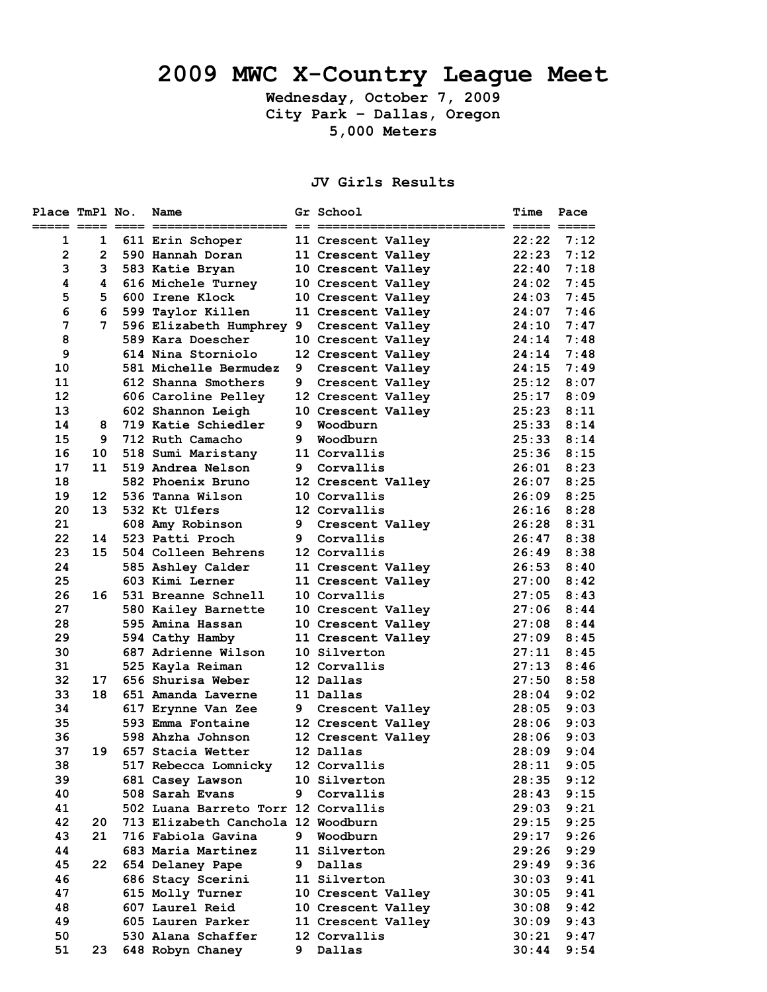# **2009 MWC X-Country League Meet**

**Wednesday, October 7, 2009 City Park – Dallas, Oregon 5,000 Meters** 

## **JV Girls Results**

| Place TmPl No. |                       | Name                                |   | Gr School          | Time  | Pace           |
|----------------|-----------------------|-------------------------------------|---|--------------------|-------|----------------|
| 1              | 1                     | 611 Erin Schoper                    |   | 11 Crescent Valley | 22:22 | 7:12           |
| $\overline{2}$ | $\mathbf{2}^{\prime}$ | 590 Hannah Doran                    |   | 11 Crescent Valley | 22:23 | 7:12           |
| 3              | 3                     | 583 Katie Bryan                     |   | 10 Crescent Valley | 22:40 | 7:18           |
| 4              | 4                     | 616 Michele Turney                  |   | 10 Crescent Valley | 24:02 | 7:45           |
| 5              | 5.                    | 600 Irene Klock                     |   | 10 Crescent Valley | 24:03 | 7:45           |
| 6              | 6                     | 599 Taylor Killen                   |   | 11 Crescent Valley | 24:07 | 7:46           |
| 7              | 7                     | 596 Elizabeth Humphrey 9            |   | Crescent Valley    | 24:10 | 7:47           |
| 8              |                       | 589 Kara Doescher                   |   | 10 Crescent Valley | 24:14 | 7:48           |
| 9              |                       | 614 Nina Storniolo                  |   | 12 Crescent Valley | 24:14 | 7:48           |
| 10             |                       | 581 Michelle Bermudez               | 9 | Crescent Valley    | 24:15 | 7:49           |
| 11             |                       | 612 Shanna Smothers                 | 9 | Crescent Valley    | 25:12 | 8:07           |
| 12             |                       | 606 Caroline Pelley                 |   | 12 Crescent Valley | 25:17 | 8:09           |
| 13             |                       | 602 Shannon Leigh                   |   | 10 Crescent Valley | 25:23 | 8:11           |
| 14             | 8                     | 719 Katie Schiedler                 | 9 | Woodburn           | 25:33 | 8:14           |
| 15             | 9                     | 712 Ruth Camacho                    | 9 | Woodburn           | 25:33 | 8:14           |
| 16             | 10.                   | 518 Sumi Maristany                  |   | 11 Corvallis       | 25:36 | 8:15           |
| 17             | 11                    | 519 Andrea Nelson                   |   | 9 Corvallis        | 26:01 | 8:23           |
| 18             |                       | 582 Phoenix Bruno                   |   | 12 Crescent Valley | 26:07 | 8:25           |
| 19             | 12                    | 536 Tanna Wilson                    |   | 10 Corvallis       | 26:09 | 8:25           |
| 20             | 13                    | 532 Kt Ulfers                       |   | 12 Corvallis       | 26:16 | 8:28           |
| 21             |                       | 608 Amy Robinson                    | 9 | Crescent Valley    | 26:28 | 8:31           |
| 22             | 14                    | 523 Patti Proch                     | 9 | Corvallis          | 26:47 | 8:38           |
| 23             | 15                    | 504 Colleen Behrens                 |   | 12 Corvallis       | 26:49 | 8:38           |
| 24             |                       | 585 Ashley Calder                   |   | 11 Crescent Valley | 26:53 | 8:40           |
| 25             |                       | 603 Kimi Lerner                     |   | 11 Crescent Valley | 27:00 | 8:42           |
| 26             | 16                    | 531 Breanne Schnell                 |   | 10 Corvallis       | 27:05 | 8:43           |
| 27             |                       | 580 Kailey Barnette                 |   | 10 Crescent Valley | 27:06 | 8:44           |
| 28             |                       | 595 Amina Hassan                    |   | 10 Crescent Valley | 27:08 | 8:44           |
| 29             |                       | 594 Cathy Hamby                     |   | 11 Crescent Valley | 27:09 | 8:45           |
| 30             |                       | 687 Adrienne Wilson                 |   | 10 Silverton       | 27:11 | 8:45           |
| 31             |                       | 525 Kayla Reiman                    |   | 12 Corvallis       | 27:13 | 8:46           |
| 32             | 17                    | 656 Shurisa Weber                   |   | 12 Dallas          | 27:50 | 8:58           |
| 33             | 18                    | 651 Amanda Laverne                  |   | 11 Dallas          | 28:04 | 9:02           |
| 34             |                       | 617 Erynne Van Zee                  |   | 9 Crescent Valley  | 28:05 | 9:03           |
| 35             |                       | 593 Emma Fontaine                   |   | 12 Crescent Valley | 28:06 | 9:03           |
| 36             |                       | 598 Ahzha Johnson                   |   | 12 Crescent Valley | 28:06 | 9:03           |
| 37             | 19                    | 657 Stacia Wetter                   |   | 12 Dallas          | 28:09 | 9:04           |
| 38             |                       | 517 Rebecca Lomnicky 12 Corvallis   |   |                    |       | $28:11$ $9:05$ |
| 39             |                       | 681 Casey Lawson                    |   | 10 Silverton       | 28:35 | 9:12           |
| 40             |                       | 508 Sarah Evans                     | 9 | Corvallis          | 28:43 | 9:15           |
| 41             |                       | 502 Luana Barreto Torr 12 Corvallis |   |                    | 29:03 | 9:21           |
| 42             | 20                    | 713 Elizabeth Canchola 12 Woodburn  |   |                    | 29:15 | 9:25           |
| 43             | 21                    | 716 Fabiola Gavina                  | 9 | Woodburn           | 29:17 | 9:26           |
| 44             |                       | 683 Maria Martinez                  |   | 11 Silverton       | 29:26 | 9:29           |
| 45             | 22                    | 654 Delaney Pape                    |   | 9 Dallas           | 29:49 | 9:36           |
| 46             |                       | 686 Stacy Scerini                   |   | 11 Silverton       | 30:03 | 9:41           |
| 47             |                       | 615 Molly Turner                    |   | 10 Crescent Valley | 30:05 | 9:41           |
| 48             |                       | 607 Laurel Reid                     |   | 10 Crescent Valley | 30:08 | 9:42           |
| 49             |                       | 605 Lauren Parker                   |   | 11 Crescent Valley | 30:09 | 9:43           |
| 50             |                       | 530 Alana Schaffer                  |   | 12 Corvallis       | 30:21 | 9:47           |
| 51             | 23.                   | 648 Robyn Chaney                    | 9 | Dallas             | 30:44 | 9:54           |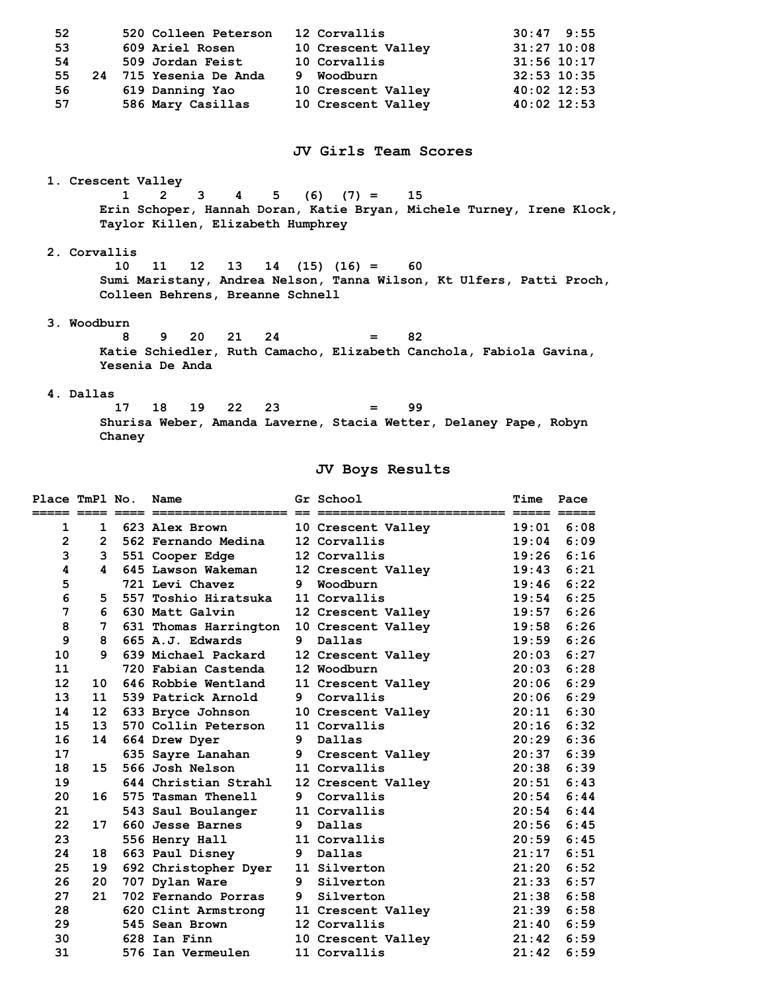| 52<br>53<br>54<br>55<br>56<br>57                                                                                                                 |                                                                                                                                                                                 |        | 520 Colleen Peterson<br>609 Ariel Rosen<br>509 Jordan Feist<br>24 715 Yesenia De Anda<br>619 Danning Yao<br>586 Mary Casillas |   | 12 Corvallis<br>10 Crescent Valley<br>10 Corvallis<br>9 Woodburn<br>10 Crescent Valley<br>10 Crescent Valley | 30:47<br>$32:53$ $10:35$<br>40:02 12:53<br>40:02 12:53 | 9:55<br>$31:27$ 10:08<br>31:56 10:17 |  |  |  |
|--------------------------------------------------------------------------------------------------------------------------------------------------|---------------------------------------------------------------------------------------------------------------------------------------------------------------------------------|--------|-------------------------------------------------------------------------------------------------------------------------------|---|--------------------------------------------------------------------------------------------------------------|--------------------------------------------------------|--------------------------------------|--|--|--|
|                                                                                                                                                  |                                                                                                                                                                                 |        |                                                                                                                               |   | JV Girls Team Scores                                                                                         |                                                        |                                      |  |  |  |
|                                                                                                                                                  |                                                                                                                                                                                 |        | 1. Crescent Valley                                                                                                            |   |                                                                                                              |                                                        |                                      |  |  |  |
|                                                                                                                                                  | $\overline{2}$<br>$(6)$ $(7) =$<br>1<br>3<br>5<br>15<br>4<br>Erin Schoper, Hannah Doran, Katie Bryan, Michele Turney, Irene Klock,<br>Taylor Killen, Elizabeth Humphrey         |        |                                                                                                                               |   |                                                                                                              |                                                        |                                      |  |  |  |
|                                                                                                                                                  | 2. Corvallis<br>10<br>11<br>12<br>13<br>14<br>$(15)$ $(16) =$<br>60<br>Sumi Maristany, Andrea Nelson, Tanna Wilson, Kt Ulfers, Patti Proch,<br>Colleen Behrens, Breanne Schnell |        |                                                                                                                               |   |                                                                                                              |                                                        |                                      |  |  |  |
| 3. Woodburn<br>8<br>21<br>24<br>82<br>9.<br>20 -<br>$=$<br>Katie Schiedler, Ruth Camacho, Elizabeth Canchola, Fabiola Gavina,<br>Yesenia De Anda |                                                                                                                                                                                 |        |                                                                                                                               |   |                                                                                                              |                                                        |                                      |  |  |  |
|                                                                                                                                                  | 4. Dallas                                                                                                                                                                       | 17     | 19<br>22<br>23<br>18                                                                                                          |   | 99<br>$=$                                                                                                    |                                                        |                                      |  |  |  |
|                                                                                                                                                  |                                                                                                                                                                                 | Chaney |                                                                                                                               |   | Shurisa Weber, Amanda Laverne, Stacia Wetter, Delaney Pape, Robyn                                            |                                                        |                                      |  |  |  |
|                                                                                                                                                  |                                                                                                                                                                                 |        |                                                                                                                               |   | JV Boys Results                                                                                              |                                                        |                                      |  |  |  |
| Place TmPl No.                                                                                                                                   |                                                                                                                                                                                 |        | Name                                                                                                                          |   | Gr School                                                                                                    | <b>Time</b>                                            | Pace                                 |  |  |  |
|                                                                                                                                                  |                                                                                                                                                                                 |        |                                                                                                                               |   |                                                                                                              |                                                        |                                      |  |  |  |
| 1                                                                                                                                                |                                                                                                                                                                                 |        | 1 623 Alex Brown                                                                                                              |   | 10 Crescent Valley                                                                                           | 19:01                                                  | 6:08                                 |  |  |  |
| $\mathbf{2}$                                                                                                                                     |                                                                                                                                                                                 |        | 2 562 Fernando Medina                                                                                                         |   | 12 Corvallis                                                                                                 |                                                        | $19:04$ 6:09                         |  |  |  |
| 3                                                                                                                                                |                                                                                                                                                                                 |        | 3 551 Cooper Edge                                                                                                             |   | 12 Corvallis                                                                                                 | 19:26                                                  | 6:16                                 |  |  |  |
| 4                                                                                                                                                | 4                                                                                                                                                                               |        | 645 Lawson Wakeman                                                                                                            |   | 12 Crescent Valley                                                                                           | 19:43                                                  | 6:21                                 |  |  |  |
| 5                                                                                                                                                |                                                                                                                                                                                 |        | 721 Levi Chavez                                                                                                               |   | 9 Woodburn                                                                                                   | $19:46$ $6:22$                                         |                                      |  |  |  |
| 6                                                                                                                                                | 5.                                                                                                                                                                              |        | 557 Toshio Hiratsuka                                                                                                          |   | 11 Corvallis                                                                                                 | 19:54                                                  | 6:25                                 |  |  |  |
| 7                                                                                                                                                | 6.                                                                                                                                                                              |        | 630 Matt Galvin                                                                                                               |   | 12 Crescent Valley                                                                                           | 19:57                                                  | 6:26                                 |  |  |  |
| 8                                                                                                                                                | 7                                                                                                                                                                               |        | 631 Thomas Harrington                                                                                                         |   | 10 Crescent Valley                                                                                           | 19:58                                                  | 6:26                                 |  |  |  |
| 9                                                                                                                                                | 8                                                                                                                                                                               |        | 665 A.J. Edwards                                                                                                              | 9 | Dallas                                                                                                       | 19:59                                                  | 6:26                                 |  |  |  |
| 10                                                                                                                                               | 9                                                                                                                                                                               |        | 639 Michael Packard                                                                                                           |   | 12 Crescent Valley                                                                                           | 20:03                                                  | 6:27                                 |  |  |  |
| 11                                                                                                                                               |                                                                                                                                                                                 |        | 720 Fabian Castenda                                                                                                           |   | 12 Woodburn                                                                                                  | 20:03                                                  | 6:28                                 |  |  |  |
| 12 <sup>2</sup>                                                                                                                                  | 10                                                                                                                                                                              |        | 646 Robbie Wentland                                                                                                           |   | 11 Crescent Valley                                                                                           | 20:06                                                  | 6:29                                 |  |  |  |
| 13                                                                                                                                               | 11                                                                                                                                                                              |        | 539 Patrick Arnold                                                                                                            |   | 9 Corvallis                                                                                                  | 20:06                                                  | 6:29                                 |  |  |  |
| 14                                                                                                                                               |                                                                                                                                                                                 |        | 12 633 Bryce Johnson                                                                                                          |   | 10 Crescent Valley                                                                                           | 20:11                                                  | 6:30                                 |  |  |  |
| 15                                                                                                                                               | 13                                                                                                                                                                              |        | 570 Collin Peterson                                                                                                           |   | 11 Corvallis                                                                                                 | 20:16                                                  | 6:32                                 |  |  |  |
| 16                                                                                                                                               | 14                                                                                                                                                                              |        | 664 Drew Dyer                                                                                                                 | 9 | Dallas                                                                                                       | 20:29                                                  | 6:36                                 |  |  |  |

| 18 | 15 <sub>1</sub> | 566 Josh Nelson      |    | 11 Corvallis       | 20:38 | 6:39 |
|----|-----------------|----------------------|----|--------------------|-------|------|
| 19 |                 | 644 Christian Strahl |    | 12 Crescent Valley | 20:51 | 6:43 |
| 20 | 16              | 575 Tasman Thenell   | 9  | Corvallis          | 20:54 | 6:44 |
| 21 |                 | 543 Saul Boulanger   |    | 11 Corvallis       | 20:54 | 6:44 |
| 22 | 17              | 660 Jesse Barnes     | 9. | Dallas             | 20:56 | 6:45 |
| 23 |                 | 556 Henry Hall       |    | 11 Corvallis       | 20:59 | 6:45 |
| 24 | 18              | 663 Paul Disney      | 9. | Dallas             | 21:17 | 6:51 |
| 25 | 19              | 692 Christopher Dyer |    | 11 Silverton       | 21:20 | 6:52 |
| 26 | 20              | 707 Dylan Ware       | 9. | Silverton          | 21:33 | 6:57 |
| 27 | 21              | 702 Fernando Porras  | 9  | Silverton          | 21:38 | 6:58 |
| 28 |                 | 620 Clint Armstrong  |    | 11 Crescent Valley | 21:39 | 6:58 |
| 29 |                 | 545 Sean Brown       |    | 12 Corvallis       | 21:40 | 6:59 |
| 30 |                 | 628 Ian Finn         |    | 10 Crescent Valley | 21:42 | 6:59 |
| 31 |                 | 576 Ian Vermeulen    |    | 11 Corvallis       | 21:42 | 6:59 |
|    |                 |                      |    |                    |       |      |

 **17 635 Sayre Lanahan 9 Crescent Valley 20:37 6:39**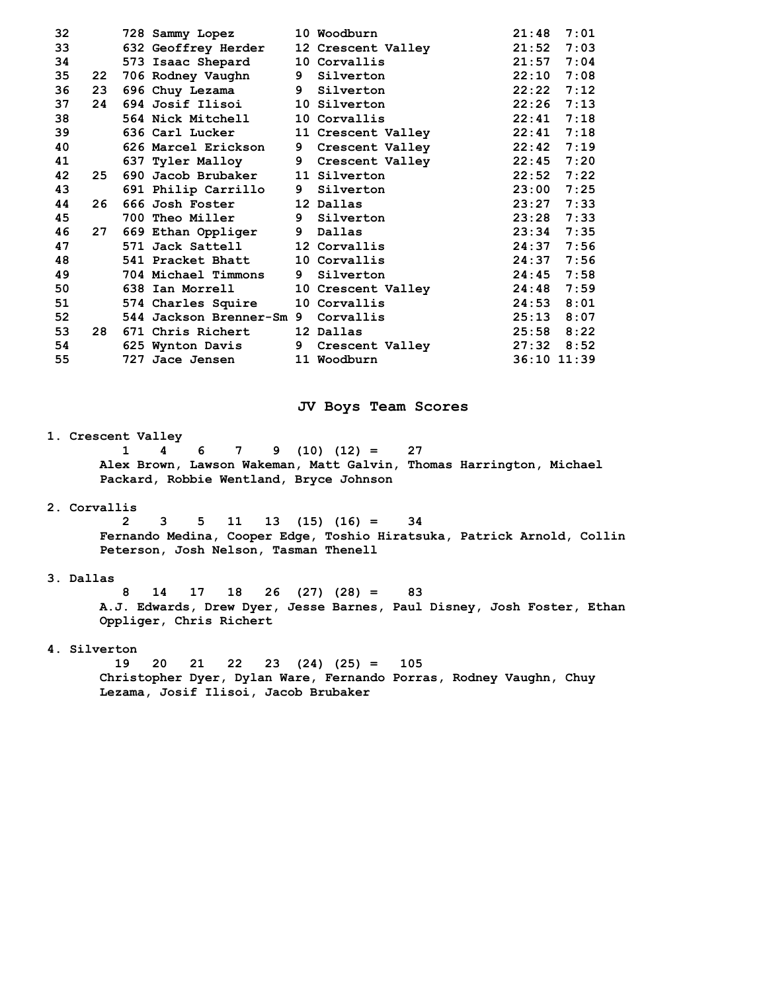| 32 |                 | 728 Sammy Lopez            |             | 10 Woodburn        | 21:48       | 7:01 |
|----|-----------------|----------------------------|-------------|--------------------|-------------|------|
| 33 |                 | <b>632 Geoffrey Herder</b> |             | 12 Crescent Valley | 21:52       | 7:03 |
| 34 |                 | 573 Isaac Shepard          |             | 10 Corvallis       | 21:57       | 7:04 |
| 35 | 22 <sub>2</sub> | 706 Rodney Vaughn          | 9           | Silverton          | 22:10       | 7:08 |
| 36 | 23              | 696 Chuy Lezama            |             | 9 Silverton        | 22:22       | 7:12 |
| 37 | 24              | 694 Josif Ilisoi           |             | 10 Silverton       | 22:26       | 7:13 |
| 38 |                 | 564 Nick Mitchell          |             | 10 Corvallis       | 22:41       | 7:18 |
| 39 |                 | 636 Carl Lucker            |             | 11 Crescent Valley | 22:41       | 7:18 |
| 40 |                 | 626 Marcel Erickson        | 9           | Crescent Valley    | 22:42       | 7:19 |
| 41 |                 | 637 Tyler Malloy           | $9^{\circ}$ | Crescent Valley    | 22:45       | 7:20 |
| 42 | 25              | 690 Jacob Brubaker         |             | 11 Silverton       | 22:52       | 7:22 |
| 43 |                 | 691 Philip Carrillo        |             | 9 Silverton        | 23:00       | 7:25 |
| 44 | 26              | 666 Josh Foster            |             | 12 Dallas          | 23:27       | 7:33 |
| 45 |                 | <b>700 Theo Miller</b>     |             | 9 Silverton        | 23:28       | 7:33 |
| 46 | 27              | 669 Ethan Oppliger         |             | 9 Dallas           | 23:34       | 7:35 |
| 47 |                 | 571 Jack Sattell           |             | 12 Corvallis       | 24:37       | 7:56 |
| 48 |                 | 541 Pracket Bhatt          |             | 10 Corvallis       | 24:37       | 7:56 |
| 49 |                 | 704 Michael Timmons        | 9           | Silverton          | 24:45       | 7:58 |
| 50 |                 | 638 Ian Morrell            |             | 10 Crescent Valley | 24:48       | 7:59 |
| 51 |                 | 574 Charles Squire         |             | 10 Corvallis       | 24:53       | 8:01 |
| 52 |                 | 544 Jackson Brenner-Sm 9   |             | Corvallis          | 25:13       | 8:07 |
| 53 | 28              | 671 Chris Richert          |             | 12 Dallas          | 25:58       | 8:22 |
| 54 |                 | 625 Wynton Davis           | 9           | Crescent Valley    | 27:32       | 8:52 |
| 55 |                 | 727 Jace Jensen            |             | 11 Woodburn        | 36:10 11:39 |      |

## **JV Boys Team Scores**

## **1. Crescent Valley**

 **1 4 6 7 9 (10) (12) = 27 Alex Brown, Lawson Wakeman, Matt Galvin, Thomas Harrington, Michael Packard, Robbie Wentland, Bryce Johnson** 

## **2. Corvallis**

 **2 3 5 11 13 (15) (16) = 34 Fernando Medina, Cooper Edge, Toshio Hiratsuka, Patrick Arnold, Collin Peterson, Josh Nelson, Tasman Thenell** 

## **3. Dallas**

 **8 14 17 18 26 (27) (28) = 83 A.J. Edwards, Drew Dyer, Jesse Barnes, Paul Disney, Josh Foster, Ethan Oppliger, Chris Richert** 

## **4. Silverton**

 **19 20 21 22 23 (24) (25) = 105 Christopher Dyer, Dylan Ware, Fernando Porras, Rodney Vaughn, Chuy Lezama, Josif Ilisoi, Jacob Brubaker**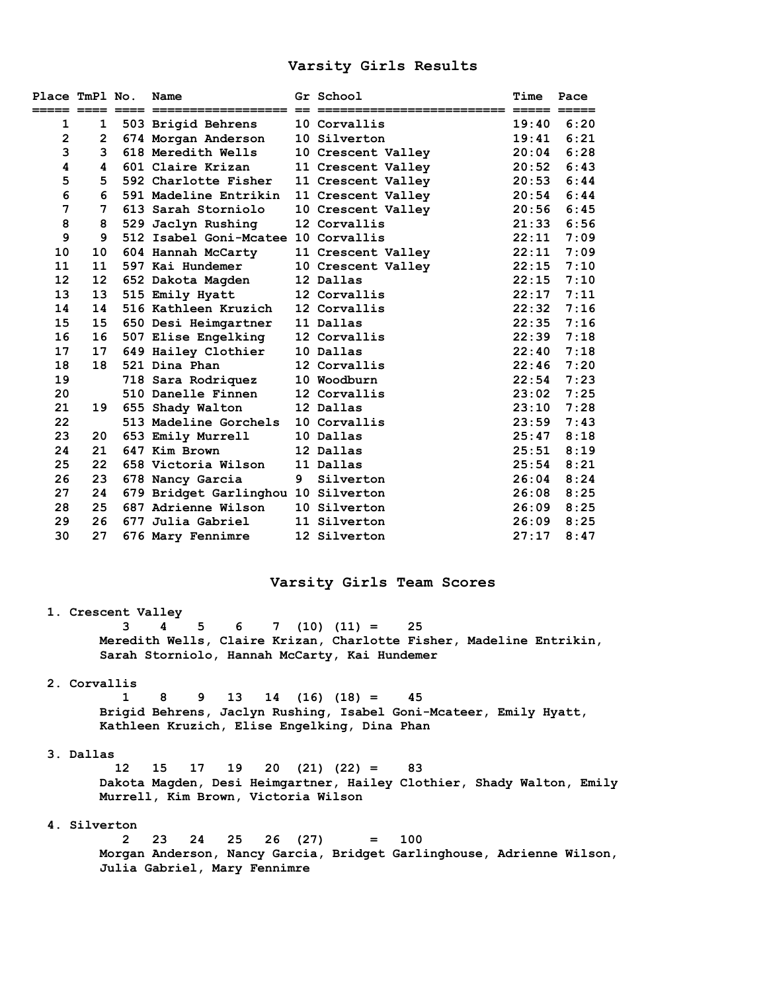## **Varsity Girls Results**

| Place TmPl No.    |                | Name                                |   | Gr School                   | Time  | Pace |
|-------------------|----------------|-------------------------------------|---|-----------------------------|-------|------|
| ===== ====        |                |                                     |   | ___________________________ |       |      |
| 1                 | 1              | 503 Brigid Behrens                  |   | 10 Corvallis                | 19:40 | 6:20 |
| $\mathbf 2$       | $\overline{2}$ | 674 Morgan Anderson                 |   | 10 Silverton                | 19:41 | 6:21 |
| 3                 | 3              | 618 Meredith Wells                  |   | 10 Crescent Valley          | 20:04 | 6:28 |
| 4                 | 4              | 601 Claire Krizan                   |   | 11 Crescent Valley          | 20:52 | 6:43 |
| 5                 | 5              | 592 Charlotte Fisher                |   | 11 Crescent Valley          | 20:53 | 6:44 |
| 6                 | 6              | 591 Madeline Entrikin               |   | 11 Crescent Valley          | 20:54 | 6:44 |
| 7                 | 7              | 613 Sarah Storniolo                 |   | 10 Crescent Valley          | 20:56 | 6:45 |
| 8                 | 8              | 529 Jaclyn Rushing                  |   | 12 Corvallis                | 21:33 | 6:56 |
| 9                 | 9              | 512 Isabel Goni-Mcatee 10 Corvallis |   |                             | 22:11 | 7:09 |
| 10                | 10             | 604 Hannah McCarty                  |   | 11 Crescent Valley          | 22:11 | 7:09 |
| 11                | 11             | 597 Kai Hundemer                    |   | 10 Crescent Valley          | 22:15 | 7:10 |
| $12 \overline{ }$ | 12             | 652 Dakota Magden                   |   | 12 Dallas                   | 22:15 | 7:10 |
| 13                | 13             | 515 Emily Hyatt                     |   | 12 Corvallis                | 22:17 | 7:11 |
| 14                | 14             | 516 Kathleen Kruzich                |   | 12 Corvallis                | 22:32 | 7:16 |
| 15                | 15             | 650 Desi Heimgartner                |   | 11 Dallas                   | 22:35 | 7:16 |
| 16                | 16             | 507 Elise Engelking                 |   | 12 Corvallis                | 22:39 | 7:18 |
| 17                | 17             | 649 Hailey Clothier                 |   | 10 Dallas                   | 22:40 | 7:18 |
| 18                | 18             | 521 Dina Phan                       |   | 12 Corvallis                | 22:46 | 7:20 |
| 19                |                | 718 Sara Rodriquez                  |   | 10 Woodburn                 | 22:54 | 7:23 |
| 20                |                | 510 Danelle Finnen                  |   | 12 Corvallis                | 23:02 | 7:25 |
| 21                | 19             | 655 Shady Walton                    |   | 12 Dallas                   | 23:10 | 7:28 |
| 22                |                | 513 Madeline Gorchels               |   | 10 Corvallis                | 23:59 | 7:43 |
| 23                | 20             | 653 Emily Murrell                   |   | 10 Dallas                   | 25:47 | 8:18 |
| 24                | 21             | 647 Kim Brown                       |   | 12 Dallas                   | 25:51 | 8:19 |
| 25                | 22             | 658 Victoria Wilson                 |   | 11 Dallas                   | 25:54 | 8:21 |
| 26                | 23             | 678 Nancy Garcia                    | 9 | Silverton                   | 26:04 | 8:24 |
| 27                | 24             | 679 Bridget Garlinghou 10 Silverton |   |                             | 26:08 | 8:25 |
| 28                | 25             | 687 Adrienne Wilson                 |   | 10 Silverton                | 26:09 | 8:25 |
| 29                | 26             | 677 Julia Gabriel                   |   | 11 Silverton                | 26:09 | 8:25 |
| 30                | 27             | 676 Mary Fennimre                   |   | 12 Silverton                | 27:17 | 8:47 |

## **Varsity Girls Team Scores**

## **1. Crescent Valley**

 **3 4 5 6 7 (10) (11) = 25 Meredith Wells, Claire Krizan, Charlotte Fisher, Madeline Entrikin, Sarah Storniolo, Hannah McCarty, Kai Hundemer** 

## **2. Corvallis**

 **1 8 9 13 14 (16) (18) = 45 Brigid Behrens, Jaclyn Rushing, Isabel Goni-Mcateer, Emily Hyatt, Kathleen Kruzich, Elise Engelking, Dina Phan** 

## **3. Dallas**

 **12 15 17 19 20 (21) (22) = 83 Dakota Magden, Desi Heimgartner, Hailey Clothier, Shady Walton, Emily Murrell, Kim Brown, Victoria Wilson** 

## **4. Silverton**

 **2 23 24 25 26 (27) = 100 Morgan Anderson, Nancy Garcia, Bridget Garlinghouse, Adrienne Wilson, Julia Gabriel, Mary Fennimre**